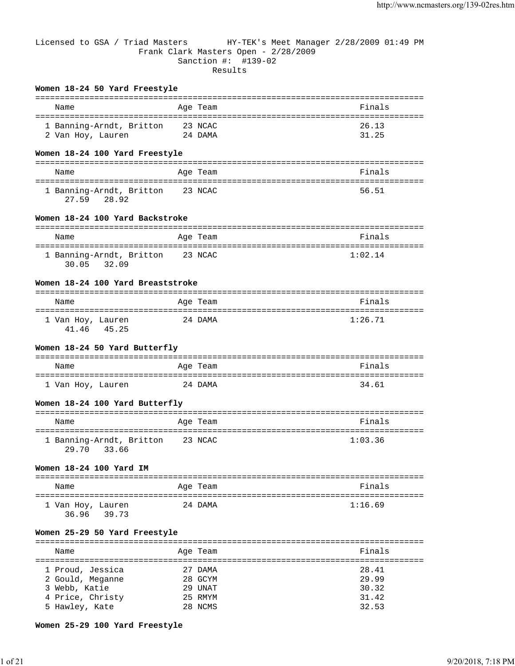# Licensed to GSA / Triad Masters HY-TEK's Meet Manager 2/28/2009 01:49 PM Frank Clark Masters Open - 2/28/2009 Sanction #: #139-02 Results

#### **Women 18-24 50 Yard Freestyle**

| Name                     | Age Team | Finals |
|--------------------------|----------|--------|
| 1 Banning-Arndt, Britton | 23 NCAC  | 26.13  |
| 2 Van Hoy, Lauren        | 24 DAMA  | 31.25  |

## **Women 18-24 100 Yard Freestyle**

| Name                                       | Age Team | Finals |
|--------------------------------------------|----------|--------|
| 1 Banning-Arndt, Britton<br>27.59<br>28.92 | 23 NCAC  | 56.51  |

# **Women 18-24 100 Yard Backstroke**

| Name                     | Age Team | Finals  |
|--------------------------|----------|---------|
| 1 Banning-Arndt, Britton | 23 NCAC  | 1:02.14 |
| 30.05<br>32.09           |          |         |

## **Women 18-24 100 Yard Breaststroke**

| Name                       |       | Age Team | Finals  |
|----------------------------|-------|----------|---------|
| 1 Van Hoy, Lauren<br>41.46 | 45.25 | 24 DAMA  | 1:26.71 |

#### **Women 18-24 50 Yard Butterfly**

| Name              | Age Team | Finals |
|-------------------|----------|--------|
|                   |          |        |
| 1 Van Hoy, Lauren | 24 DAMA  | 34.61  |

#### **Women 18-24 100 Yard Butterfly**

| Name                                       | Age Team | Finals  |
|--------------------------------------------|----------|---------|
| 1 Banning-Arndt, Britton<br>29.70<br>33.66 | 23 NCAC  | 1:03.36 |

#### **Women 18-24 100 Yard IM**

| Name                       |       | Age Team | Finals  |
|----------------------------|-------|----------|---------|
| 1 Van Hoy, Lauren<br>36.96 | 39.73 | 24 DAMA  | 1:16.69 |

#### **Women 25-29 50 Yard Freestyle**

| Name             | Age Team | Finals |
|------------------|----------|--------|
|                  |          |        |
| 1 Proud, Jessica | 27 DAMA  | 28.41  |
| 2 Gould, Meganne | 28 GCYM  | 29.99  |
| 3 Webb, Katie    | 29 UNAT  | 30.32  |
| 4 Price, Christy | 25 RMYM  | 31.42  |
| 5 Hawley, Kate   | 28 NCMS  | 32.53  |

#### **Women 25-29 100 Yard Freestyle**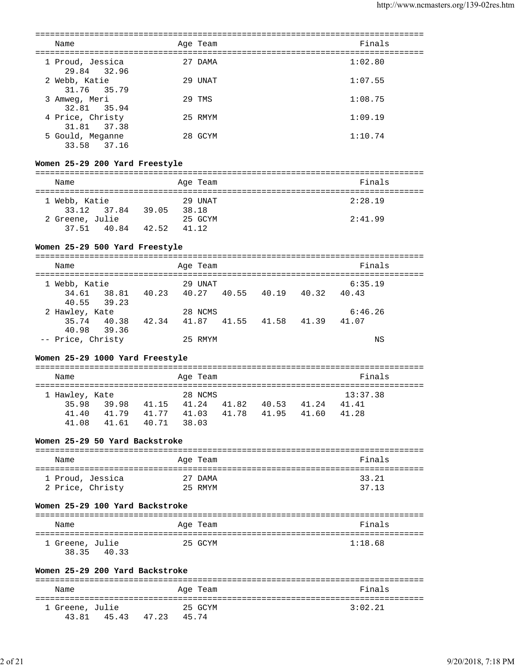| Name                                                                 |                                     | Age Team |                         | Finals   |
|----------------------------------------------------------------------|-------------------------------------|----------|-------------------------|----------|
| 1 Proud, Jessica<br>29.84<br>32.96                                   |                                     | 27 DAMA  |                         | 1:02.80  |
| 2 Webb, Katie<br>31.76<br>35.79                                      |                                     | 29 UNAT  |                         | 1:07.55  |
| 3 Amweg, Meri<br>32.81<br>35.94                                      |                                     | 29 TMS   |                         | 1:08.75  |
| 4 Price, Christy<br>31.81<br>37.38                                   |                                     | 25 RMYM  |                         | 1:09.19  |
| 5 Gould, Meganne<br>33.58 37.16                                      |                                     | 28 GCYM  |                         | 1:10.74  |
| Women 25-29 200 Yard Freestyle                                       |                                     |          |                         |          |
| Name                                                                 |                                     | Age Team |                         | Finals   |
| 1 Webb, Katie<br>33.12 37.84 39.05 38.18                             |                                     | 29 UNAT  |                         | 2:28.19  |
| 2 Greene, Julie<br>37.51 40.84 42.52 41.12                           | 25 GCYM                             |          |                         | 2:41.99  |
| Women 25-29 500 Yard Freestyle                                       |                                     |          |                         |          |
| Name                                                                 |                                     | Age Team |                         | Finals   |
| 1 Webb, Katie                                                        |                                     | 29 UNAT  |                         | 6:35.19  |
| 38.81 40.23 40.27 40.55 40.19 40.32 40.43<br>34.61<br>40.55<br>39.23 |                                     |          |                         |          |
| 2 Hawley, Kate                                                       |                                     | 28 NCMS  |                         | 6:46.26  |
| 35.74 40.38 42.34 41.87 41.55 41.58 41.39 41.07                      |                                     |          |                         |          |
| 39.36<br>40.98<br>-- Price, Christy                                  |                                     | 25 RMYM  |                         | ΝS       |
| Women 25-29 1000 Yard Freestyle                                      |                                     |          |                         |          |
|                                                                      |                                     |          |                         |          |
| Name                                                                 |                                     | Age Team |                         | Finals   |
| 1 Hawley, Kate                                                       |                                     | 28 NCMS  |                         | 13:37.38 |
| 35.98                                                                | 39.98 41.15 41.24 41.82 40.53 41.24 |          |                         | 41.41    |
| 41.79  41.77  41.03<br>41.40                                         |                                     |          | 41.78 41.95 41.60 41.28 |          |
| 41.61 40.71 38.03<br>41.08                                           |                                     |          |                         |          |
| Women 25-29 50 Yard Backstroke                                       |                                     |          |                         |          |
| Name                                                                 |                                     | Age Team |                         | Finals   |
| 1 Proud, Jessica                                                     |                                     | 27 DAMA  |                         | 33.21    |
| 2 Price, Christy                                                     |                                     | 25 RMYM  |                         | 37.13    |
| Women 25-29 100 Yard Backstroke                                      |                                     |          |                         |          |
| Name                                                                 |                                     | Age Team |                         | Finals   |
| 1 Greene, Julie<br>38.35 40.33                                       |                                     | 25 GCYM  |                         | 1:18.68  |
| Women 25-29 200 Yard Backstroke                                      |                                     |          |                         |          |
|                                                                      |                                     |          |                         |          |
| Name                                                                 |                                     | Age Team |                         | Finals   |
| 1 Greene, Julie<br>43.81  45.43  47.23  45.74                        |                                     | 25 GCYM  |                         | 3:02.21  |
|                                                                      |                                     |          |                         |          |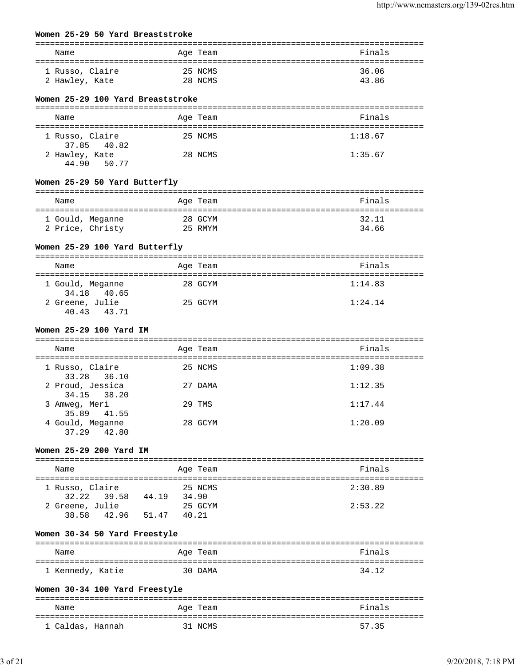## **Women 25-29 50 Yard Breaststroke**

| Name                              | Age Team | Finals  |
|-----------------------------------|----------|---------|
|                                   |          |         |
| 1 Russo, Claire                   | 25 NCMS  | 36.06   |
| 2 Hawley, Kate                    | 28 NCMS  | 43.86   |
| Women 25-29 100 Yard Breaststroke |          |         |
|                                   |          |         |
| Name                              | Age Team | Finals  |
| 1 Russo, Claire                   | 25 NCMS  | 1:18.67 |
| 37.85 40.82                       |          |         |
| 2 Hawley, Kate<br>44.90<br>50.77  | 28 NCMS  | 1:35.67 |
| Women 25-29 50 Yard Butterfly     |          |         |
| Name                              | Age Team | Finals  |
| 1 Gould, Meganne                  | 28 GCYM  | 32.11   |
| 2 Price, Christy                  | 25 RMYM  | 34.66   |
|                                   |          |         |
| Women 25-29 100 Yard Butterfly    |          |         |
|                                   |          |         |
| Name                              | Age Team | Finals  |
| 1 Gould, Meganne                  | 28 GCYM  | 1:14.83 |
| 34.18 40.65                       |          |         |
| 2 Greene, Julie                   | 25 GCYM  | 1:24.14 |
| 40.43<br>43.71                    |          |         |
| Women 25-29 100 Yard IM           |          |         |
|                                   |          |         |
| Name                              | Age Team | Finals  |
| 1 Russo, Claire                   | 25 NCMS  | 1:09.38 |
| 33.28<br>36.10                    |          |         |
| 2 Proud, Jessica                  | 27 DAMA  | 1:12.35 |
| 34.15<br>38.20                    |          |         |
| 3 Amweg, Meri                     | 29 TMS   | 1:17.44 |
| 35.89 41.55                       | 28 GCYM  | 1:20.09 |
| 4 Gould, Meganne<br>37.29 42.80   |          |         |
|                                   |          |         |
| Women 25-29 200 Yard IM           |          |         |
| Name                              | Age Team | Finals  |
| 1 Russo, Claire                   | 25 NCMS  | 2:30.89 |
| 32.22 39.58 44.19 34.90           |          |         |
| 2 Greene, Julie                   | 25 GCYM  | 2:53.22 |
| $38.58$ $42.96$ $51.47$ $40.21$   |          |         |
| Women 30-34 50 Yard Freestyle     |          |         |
| Name                              | Age Team | Finals  |
|                                   |          |         |
| 1 Kennedy, Katie                  | 30 DAMA  | 34.12   |
|                                   |          |         |
| Women 30-34 100 Yard Freestyle    |          |         |
| Name                              | Age Team | Finals  |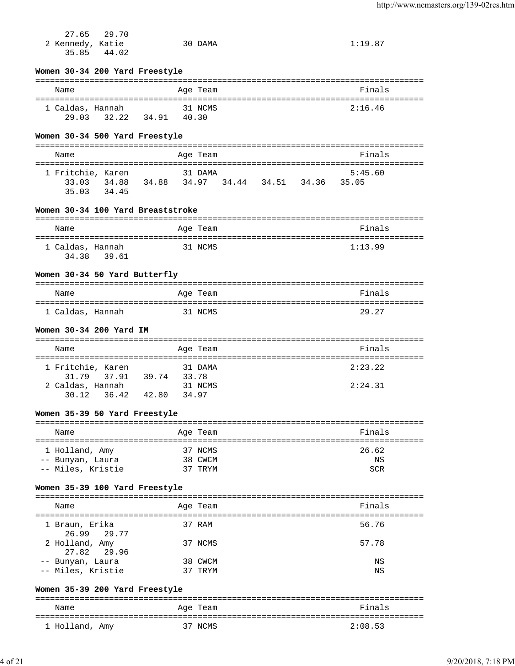| 2 Kennedy, Katie        | 27.65 29.70                   |                                                 | 30 DAMA  |  | 1:19.87 |  |
|-------------------------|-------------------------------|-------------------------------------------------|----------|--|---------|--|
| 35.85                   | 44.02                         |                                                 |          |  |         |  |
|                         |                               | Women 30-34 200 Yard Freestyle                  |          |  |         |  |
| Name                    |                               |                                                 | Age Team |  | Finals  |  |
| 1 Caldas, Hannah        |                               | 29.03 32.22 34.91 40.30                         | 31 NCMS  |  | 2:16.46 |  |
|                         |                               | Women 30-34 500 Yard Freestyle                  |          |  |         |  |
| Name                    |                               |                                                 | Age Team |  | Finals  |  |
|                         | 1 Fritchie, Karen             |                                                 | 31 DAMA  |  | 5:45.60 |  |
|                         | 35.03 34.45                   | 33.03 34.88 34.88 34.97 34.44 34.51 34.36 35.05 |          |  |         |  |
|                         |                               | Women 30-34 100 Yard Breaststroke               |          |  |         |  |
| Name                    |                               |                                                 | Age Team |  | Finals  |  |
|                         |                               |                                                 |          |  |         |  |
| 1 Caldas, Hannah        | 34.38 39.61                   |                                                 | 31 NCMS  |  | 1:13.99 |  |
|                         |                               | Women 30-34 50 Yard Butterfly                   |          |  |         |  |
| Name                    |                               |                                                 | Age Team |  | Finals  |  |
| 1 Caldas, Hannah        |                               | 31 NCMS                                         |          |  | 29.27   |  |
|                         | Women 30-34 200 Yard IM       |                                                 |          |  |         |  |
| Name                    |                               |                                                 | Age Team |  | Finals  |  |
|                         |                               |                                                 |          |  |         |  |
|                         | 1 Fritchie, Karen             |                                                 | 31 DAMA  |  | 2:23.22 |  |
| 2 Caldas, Hannah        |                               | 31.79 37.91 39.74 33.78                         | 31 NCMS  |  | 2:24.31 |  |
|                         | 30.12 36.42                   | 42.80                                           | 34.97    |  |         |  |
|                         | Women 35-39 50 Yard Freestyle |                                                 |          |  |         |  |
| Name                    |                               |                                                 | Age Team |  | Finals  |  |
| 1 Holland, Amy          |                               |                                                 | 37 NCMS  |  | 26.62   |  |
| -- Bunyan, Laura        |                               |                                                 | 38 CWCM  |  | ΝS      |  |
| -- Miles, Kristie       |                               |                                                 | 37 TRYM  |  | SCR     |  |
|                         |                               | Women 35-39 100 Yard Freestyle                  |          |  |         |  |
| Name                    |                               |                                                 | Age Team |  | Finals  |  |
|                         |                               |                                                 |          |  |         |  |
| 1 Braun, Erika<br>26.99 | 29.77                         |                                                 | 37 RAM   |  | 56.76   |  |
| 2 Holland, Amy<br>27.82 | 29.96                         |                                                 | 37 NCMS  |  | 57.78   |  |
| -- Bunyan, Laura        |                               |                                                 | 38 CWCM  |  | ΝS      |  |
| -- Miles, Kristie       |                               |                                                 | 37 TRYM  |  | ΝS      |  |
|                         |                               | Women 35-39 200 Yard Freestyle                  |          |  |         |  |
| Name                    |                               |                                                 | Age Team |  | Finals  |  |
|                         |                               |                                                 |          |  |         |  |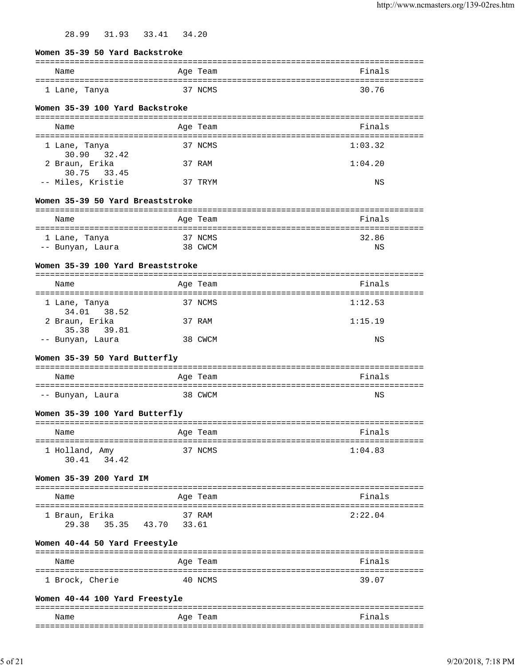28.99 31.93 33.41 34.20

| Name                              |         | ------------------------------------ | Finals                          |
|-----------------------------------|---------|--------------------------------------|---------------------------------|
|                                   |         | Age Team                             |                                 |
| l Lane, Tanya                     |         | 37 NCMS                              | 30.76                           |
| Women 35-39 100 Yard Backstroke   |         |                                      |                                 |
|                                   |         |                                      |                                 |
| Name                              |         | Age Team                             | Finals                          |
| l Lane, Tanya<br>30.90<br>32.42   |         | 37 NCMS                              | 1:03.32                         |
| 2 Braun, Erika<br>30.75 33.45     |         | 37 RAM                               | 1:04.20                         |
| -- Miles, Kristie                 | 37 TRYM |                                      | ΝS                              |
| Women 35-39 50 Yard Breaststroke  |         |                                      |                                 |
| Name                              |         | Age Team                             | Finals                          |
|                                   |         |                                      |                                 |
| 1 Lane, Tanya<br>-- Bunyan, Laura |         | 37 NCMS<br>38 CWCM                   | 32.86<br>ΝS                     |
|                                   |         |                                      |                                 |
| Women 35-39 100 Yard Breaststroke |         |                                      | : = = = = = = = = = = = = = = = |
| Name<br>===================       |         | Age Team<br>:================        | Finals<br>===================   |
| 1 Lane, Tanya<br>34.01 38.52      |         | 37 NCMS                              | 1:12.53                         |
| 2 Braun, Erika<br>35.38 39.81     |         | 37 RAM                               | 1:15.19                         |
| -- Bunyan, Laura                  |         | 38 CWCM                              | ΝS                              |
| Women 35-39 50 Yard Butterfly     |         |                                      |                                 |
| Name                              |         | Age Team                             | Finals                          |
| -- Bunyan, Laura                  |         | 38 CWCM                              | ΝS                              |
| Women 35-39 100 Yard Butterfly    |         |                                      |                                 |
| Name                              |         | Age Team                             | Finals                          |
| 1 Holland, Amy                    |         | 37 NCMS                              | 1:04.83                         |
| 30.41 34.42                       |         |                                      |                                 |
| Women 35-39 200 Yard IM           |         |                                      |                                 |
| Name                              |         | Age Team                             | Finals                          |
| 1 Braun, Erika                    |         | 37 RAM                               | 2:22.04                         |
| 35.35 43.70 33.61<br>29.38        |         |                                      |                                 |
| Women 40-44 50 Yard Freestyle     |         |                                      |                                 |
| Name                              |         | Age Team                             | Finals                          |
|                                   |         |                                      | ====================            |

**Women 40-44 100 Yard Freestyle** ===============================================================================

1 Brock, Cherie 40 NCMS 39.07

| Name<br>____ | $- -$<br>$\sim$ $\sim$<br>$A$ u $\vdash$<br>eall<br>___ | $\sim$<br>---       |
|--------------|---------------------------------------------------------|---------------------|
| ---          |                                                         | ___<br>____________ |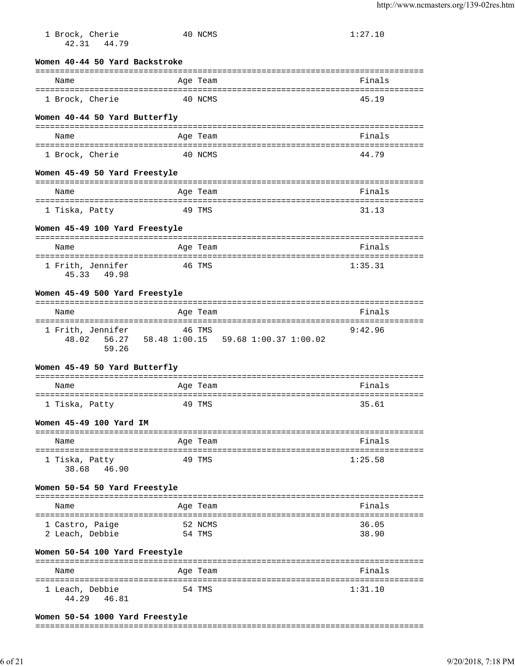| 1 Brock, Cherie<br>42.31 44.79             |        | 40 NCMS  |                                                     | 1:27.10 |
|--------------------------------------------|--------|----------|-----------------------------------------------------|---------|
| Women 40-44 50 Yard Backstroke             |        |          |                                                     |         |
| Name                                       |        | Age Team |                                                     | Finals  |
| 1 Brock, Cherie                            |        | 40 NCMS  |                                                     | 45.19   |
| Women 40-44 50 Yard Butterfly              |        |          |                                                     |         |
| Name                                       |        | Age Team |                                                     | Finals  |
| 1 Brock, Cherie                            |        | 40 NCMS  |                                                     | 44.79   |
| Women 45-49 50 Yard Freestyle              |        |          |                                                     |         |
| Name                                       |        | Age Team |                                                     | Finals  |
| 1 Tiska, Patty                             | 49 TMS |          |                                                     | 31.13   |
| Women 45-49 100 Yard Freestyle             |        |          |                                                     |         |
| Name                                       |        | Age Team |                                                     | Finals  |
|                                            |        |          |                                                     |         |
| 1 Frith, Jennifer<br>45.33 49.98           | 46 TMS |          |                                                     | 1:35.31 |
| Women 45-49 500 Yard Freestyle             |        |          |                                                     |         |
| Name                                       |        | Age Team |                                                     | Finals  |
| 1 Frith, Jennifer 46 TMS<br>48.02<br>59.26 |        |          | 56.27   58.48   1:00.15   59.68   1:00.37   1:00.02 | 9:42.96 |
| Women 45-49 50 Yard Butterfly              |        |          |                                                     |         |
| Name                                       |        | Age Team |                                                     | Finals  |
| 1 Tiska, Patty                             |        | 49 TMS   |                                                     | 35.61   |
| Women 45-49 100 Yard IM                    |        |          |                                                     |         |
| Name                                       |        | Age Team |                                                     | Finals  |
| 1 Tiska, Patty<br>38.68<br>46.90           |        | 49 TMS   |                                                     | 1:25.58 |
| Women 50-54 50 Yard Freestyle              |        |          |                                                     |         |
| Name                                       |        | Age Team |                                                     | Finals  |
| 1 Castro, Paige                            |        | 52 NCMS  |                                                     | 36.05   |
| 2 Leach, Debbie                            |        | 54 TMS   |                                                     | 38.90   |
| Women 50-54 100 Yard Freestyle             |        |          |                                                     |         |
| Name                                       |        | Age Team |                                                     | Finals  |
| 1 Leach, Debbie<br>44.29<br>46.81          |        | 54 TMS   |                                                     | 1:31.10 |

# **Women 50-54 1000 Yard Freestyle**

#### ===============================================================================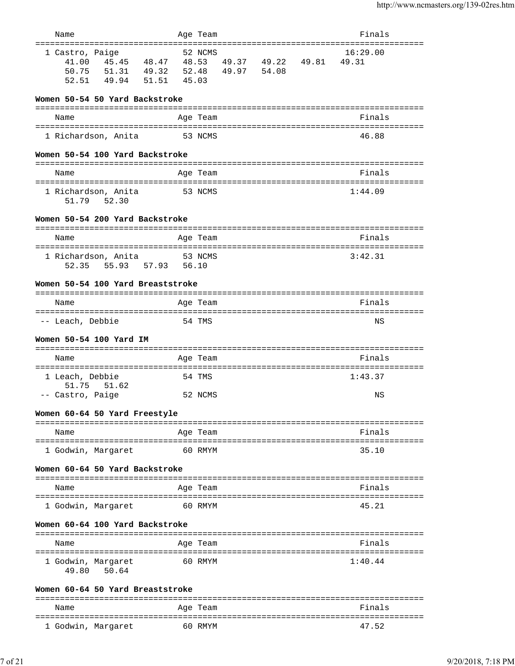| Name                                                        |                                    |                                                            | Age Team |                   |       | Finals                 |
|-------------------------------------------------------------|------------------------------------|------------------------------------------------------------|----------|-------------------|-------|------------------------|
| ======================<br>1 Castro, Paige<br>50.75<br>52.51 | 51.31 49.32<br>49.94               | 41.00  45.45  48.47  48.53  49.37  49.22<br>51.51<br>45.03 | 52 NCMS  | 52.48 49.97 54.08 | 49.81 | 16:29.00<br>49.31      |
| Women 50-54 50 Yard Backstroke                              |                                    |                                                            |          |                   |       |                        |
| Name                                                        |                                    |                                                            | Age Team |                   |       | Finals                 |
|                                                             | 1 Richardson, Anita                |                                                            | 53 NCMS  |                   |       | 46.88                  |
| Women 50-54 100 Yard Backstroke                             |                                    |                                                            |          |                   |       |                        |
| Name                                                        |                                    |                                                            | Age Team |                   |       | Finals                 |
|                                                             |                                    |                                                            |          |                   |       |                        |
|                                                             | 1 Richardson, Anita<br>51.79 52.30 |                                                            | 53 NCMS  |                   |       | 1:44.09                |
| Women 50-54 200 Yard Backstroke                             |                                    |                                                            |          |                   |       |                        |
| Name                                                        |                                    |                                                            | Age Team |                   |       | Finals                 |
| 52.35                                                       | 1 Richardson, Anita                | 55.93 57.93 56.10                                          | 53 NCMS  |                   |       | 3:42.31                |
| Women 50-54 100 Yard Breaststroke                           |                                    |                                                            |          |                   |       |                        |
| Name                                                        |                                    |                                                            | Age Team |                   |       | Finals                 |
| -- Leach, Debbie                                            |                                    |                                                            | 54 TMS   |                   |       | NS                     |
| Women 50-54 100 Yard IM                                     |                                    |                                                            |          |                   |       |                        |
| Name                                                        |                                    |                                                            | Age Team |                   |       | Finals                 |
| 1 Leach, Debbie<br>51.75                                    | 51.62                              |                                                            | 54 TMS   |                   |       | 1:43.37                |
| -- Castro, Paige                                            |                                    |                                                            | 52 NCMS  |                   |       | ΝS                     |
| Women 60-64 50 Yard Freestyle                               |                                    |                                                            |          |                   |       |                        |
| Name                                                        |                                    |                                                            | Age Team |                   |       | Finals<br>========     |
| 1 Godwin, Margaret                                          |                                    |                                                            | 60 RMYM  |                   |       | 35.10                  |
| Women 60-64 50 Yard Backstroke                              |                                    |                                                            |          |                   |       |                        |
| Name                                                        |                                    |                                                            | Age Team |                   |       | Finals                 |
| 1 Godwin, Margaret                                          |                                    |                                                            | 60 RMYM  |                   |       | 45.21                  |
| Women 60-64 100 Yard Backstroke                             |                                    |                                                            |          |                   |       |                        |
| Name                                                        |                                    |                                                            | Age Team |                   |       | Finals                 |
| ==========================<br>1 Godwin, Margaret<br>49.80   | 50.64                              | ----------                                                 | 60 RMYM  |                   |       | ===========<br>1:40.44 |
| Women 60-64 50 Yard Breaststroke                            |                                    |                                                            |          |                   |       |                        |
| Name                                                        |                                    |                                                            | Age Team |                   |       | Finals                 |

1 Godwin, Margaret 60 RMYM 47.52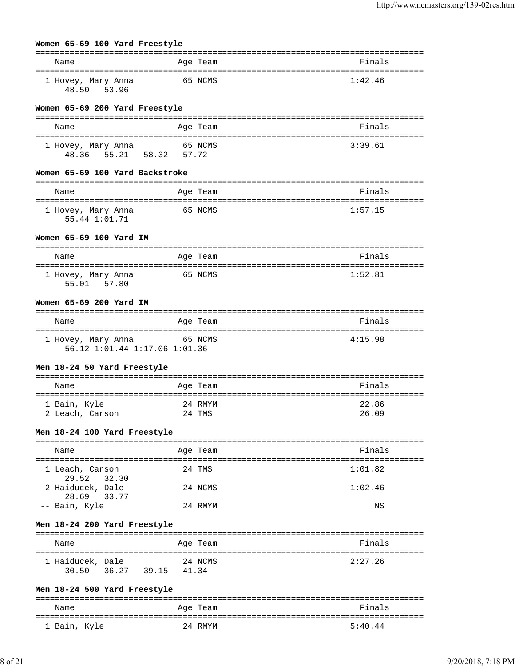| Women 65-69 100 Yard Freestyle                               |                            |         |
|--------------------------------------------------------------|----------------------------|---------|
| Name                                                         | Age Team                   | Finals  |
| 1 Hovey, Mary Anna<br>48.50 53.96                            | 65 NCMS                    | 1:42.46 |
| Women 65-69 200 Yard Freestyle                               |                            |         |
| Name                                                         | Age Team                   | Finals  |
|                                                              |                            |         |
| 1 Hovey, Mary Anna<br>48.36 55.21 58.32 57.72                | 65 NCMS                    | 3:39.61 |
| Women 65-69 100 Yard Backstroke                              |                            |         |
| Name                                                         | Age Team                   | Finals  |
| 1 Hovey, Mary Anna<br>55.44 1:01.71                          | 65 NCMS                    | 1:57.15 |
| Women 65-69 100 Yard IM                                      |                            |         |
| Name                                                         | Age Team                   | Finals  |
| 1 Hovey, Mary Anna<br>55.01 57.80                            | 65 NCMS                    | 1:52.81 |
| Women 65-69 200 Yard IM                                      |                            |         |
| Name                                                         | Age Team                   | Finals  |
| 1 Hovey, Mary Anna<br>56.12 1:01.44 1:17.06 1:01.36          | 65 NCMS                    | 4:15.98 |
| Men 18-24 50 Yard Freestyle                                  |                            |         |
| Name                                                         | Age Team                   | Finals  |
| 1 Bain, Kyle                                                 | 24 RMYM                    | 22.86   |
| 2 Leach, Carson                                              | 24 TMS                     | 26.09   |
| Men 18-24 100 Yard Freestyle                                 |                            |         |
| ========================<br>Name                             | ==============<br>Aqe Team | Finals  |
| =======================<br>1 Leach, Carson<br>29.52<br>32.30 | 24 TMS                     | 1:01.82 |
| 2 Haiducek, Dale<br>28.69<br>33.77                           | 24 NCMS                    | 1:02.46 |
| -- Bain, Kyle                                                | 24 RMYM                    | ΝS      |
| Men 18-24 200 Yard Freestyle                                 |                            |         |
| Name                                                         | Aqe Team                   | Finals  |
| ===================================                          |                            |         |
| 1 Haiducek, Dale<br>36.27<br>30.50                           | 24 NCMS<br>39.15<br>41.34  | 2:27.26 |
| Men 18-24 500 Yard Freestyle                                 |                            |         |
| Name                                                         | Age Team                   | Finals  |

| Name         | Age Team | Finals  |
|--------------|----------|---------|
| 1 Bain, Kyle | 24 RMYM  | 5:40.44 |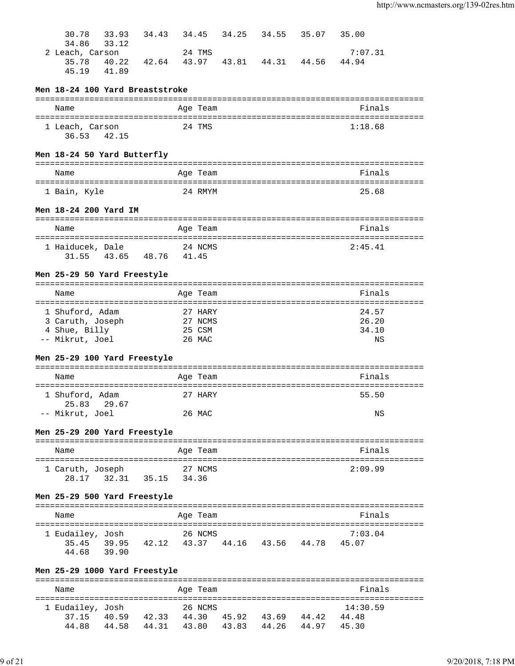| 30.78<br>34.86<br>2 Leach, Carson   | 33.93<br>33.12 |                         |        | 24 TMS             | 34.43 34.45 34.25 34.55 35.07             | 35.00<br>7:07.31             |
|-------------------------------------|----------------|-------------------------|--------|--------------------|-------------------------------------------|------------------------------|
| 35.78<br>45.19                      | 40.22<br>41.89 | 42.64 43.97             |        |                    | 43.81 44.31 44.56                         | 44.94                        |
| Men 18-24 100 Yard Breaststroke     |                |                         |        |                    |                                           |                              |
| Name                                |                |                         |        | Age Team           |                                           | Finals                       |
|                                     |                |                         |        |                    |                                           |                              |
| 1 Leach, Carson<br>36.53 42.15      |                |                         |        | 24 TMS             |                                           | 1:18.68                      |
| Men 18-24 50 Yard Butterfly         |                |                         |        |                    |                                           |                              |
| Name                                |                |                         |        | Age Team           |                                           | Finals                       |
| 1 Bain, Kyle                        |                |                         |        | 24 RMYM            |                                           | 25.68                        |
| Men 18-24 200 Yard IM               |                |                         |        |                    |                                           |                              |
| Name                                |                |                         |        | Age Team           |                                           | Finals                       |
| 1 Haiducek, Dale                    |                |                         |        | 24 NCMS            |                                           | 2:45.41                      |
| 31.55                               |                | 43.65 48.76 41.45       |        |                    |                                           |                              |
| Men 25-29 50 Yard Freestyle         |                |                         |        |                    |                                           |                              |
| Name                                |                |                         |        | Age Team           |                                           | Finals                       |
|                                     |                |                         |        |                    |                                           |                              |
| 1 Shuford, Adam<br>3 Caruth, Joseph |                |                         |        | 27 HARY<br>27 NCMS |                                           | 24.57<br>26.20               |
| 4 Shue, Billy                       |                |                         | 25 CSM |                    |                                           | 34.10                        |
| -- Mikrut, Joel                     |                |                         |        | 26 MAC             |                                           | ΝS                           |
| Men 25-29 100 Yard Freestyle        |                |                         |        |                    |                                           |                              |
| Name                                |                |                         |        | Age Team           |                                           | Finals                       |
| 1 Shuford, Adam                     |                |                         |        | 27 HARY            |                                           | 55.50                        |
| 25.83 29.67<br>-- Mikrut, Joel      |                |                         |        | 26 MAC             |                                           | ΝS                           |
|                                     |                |                         |        |                    |                                           |                              |
| Men 25-29 200 Yard Freestyle        |                |                         |        |                    |                                           |                              |
| Name                                |                |                         |        | Age Team           |                                           | Finals                       |
| 1 Caruth, Joseph                    |                |                         |        | 27 NCMS            |                                           | 2:09.99                      |
|                                     |                | 28.17 32.31 35.15 34.36 |        |                    |                                           |                              |
| Men 25-29 500 Yard Freestyle        |                |                         |        |                    |                                           |                              |
| Name                                |                |                         |        | Age Team           |                                           | Finals                       |
| 1 Eudailey, Josh                    |                |                         |        | 26 NCMS            |                                           | 7:03.04                      |
|                                     |                |                         |        |                    | 35.45 39.95 42.12 43.37 44.16 43.56 44.78 | 45.07                        |
| 44.68                               | 39.90          |                         |        |                    |                                           |                              |
| Men 25-29 1000 Yard Freestyle       |                |                         |        |                    |                                           |                              |
| Name                                |                |                         |        | Age Team           |                                           | Finals                       |
| 1 Eudailev. Josh                    |                | 26 NCMS                 |        |                    |                                           | ================<br>14:30.59 |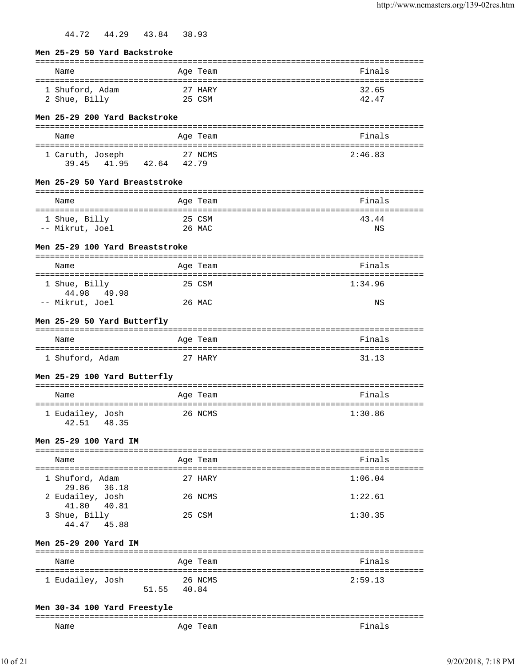44.72 44.29 43.84 38.93

| Men 25-29 50 Yard Backstroke                         |                   |          |                                    |
|------------------------------------------------------|-------------------|----------|------------------------------------|
| Name                                                 |                   | Age Team | ========================<br>Finals |
| 1 Shuford, Adam<br>2 Shue, Billy                     | 25 CSM            | 27 HARY  | 32.65<br>42.47                     |
| Men 25-29 200 Yard Backstroke                        |                   |          |                                    |
| Name                                                 |                   | Age Team | Finals                             |
| 1 Caruth, Joseph<br>39.45                            | 41.95 42.64 42.79 | 27 NCMS  | 2:46.83                            |
| Men 25-29 50 Yard Breaststroke                       |                   |          |                                    |
| Name                                                 |                   | Age Team | Finals                             |
| 1 Shue, Billy<br>-- Mikrut, Joel                     | 25 CSM<br>26 MAC  |          | 43.44<br>NS                        |
| Men 25-29 100 Yard Breaststroke                      |                   |          |                                    |
| Name                                                 |                   | Age Team | Finals                             |
| 1 Shue, Billy                                        |                   | 25 CSM   | 1:34.96                            |
| 44.98 49.98<br>-- Mikrut, Joel                       |                   | 26 MAC   | ΝS                                 |
| Men 25-29 50 Yard Butterfly                          |                   |          |                                    |
| Name                                                 |                   | Age Team | Finals                             |
| 1 Shuford, Adam                                      |                   | 27 HARY  | 31.13                              |
| Men 25-29 100 Yard Butterfly                         |                   |          |                                    |
| Name                                                 |                   | Age Team | Finals                             |
| 1 Eudailey, Josh<br>42.51 48.35                      |                   | 26 NCMS  | 1:30.86                            |
| Men 25-29 100 Yard IM                                |                   |          |                                    |
| Name                                                 |                   | Age Team | Finals                             |
| 1 Shuford, Adam                                      |                   | 27 HARY  | 1:06.04                            |
| 29.86<br>36.18<br>2 Eudailey, Josh<br>41.80<br>40.81 |                   | 26 NCMS  | 1:22.61                            |
| 3 Shue, Billy<br>44.47 45.88                         |                   | 25 CSM   | 1:30.35                            |
| Men 25-29 200 Yard IM                                |                   |          |                                    |
| Name                                                 |                   | Age Team | Finals                             |
| 1 Eudailey, Josh                                     | 51.55<br>40.84    | 26 NCMS  | 2:59.13                            |

# **Men 30-34 100 Yard Freestyle**

| $  -$ | ------------ | ___<br>---------- |
|-------|--------------|-------------------|
| Name  | ⊣u⊢          |                   |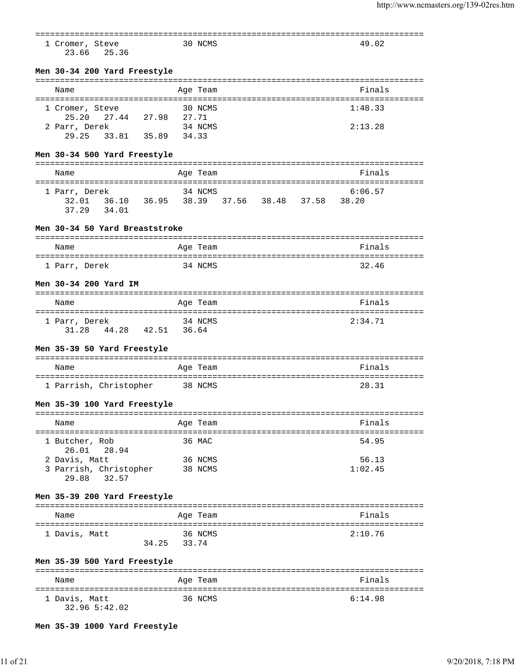| 1 Cromer, Steve<br>23.66<br>25.36                                     | 30 NCMS  |                                     | 49.02                                           |  |
|-----------------------------------------------------------------------|----------|-------------------------------------|-------------------------------------------------|--|
| Men 30-34 200 Yard Freestyle                                          |          |                                     |                                                 |  |
| Name                                                                  | Age Team |                                     | Finals                                          |  |
|                                                                       |          |                                     |                                                 |  |
| 1 Cromer, Steve<br>25.20 27.44 27.98 27.71                            | 30 NCMS  |                                     | 1:48.33                                         |  |
| 2 Parr, Derek                                                         | 34 NCMS  |                                     | 2:13.28                                         |  |
| 29.25 33.81 35.89 34.33                                               |          |                                     |                                                 |  |
| Men 30-34 500 Yard Freestyle                                          |          |                                     |                                                 |  |
| Name                                                                  | Age Team |                                     | Finals                                          |  |
| =====================================                                 |          | ----------------------------------- |                                                 |  |
| 1 Parr, Derek                                                         | 34 NCMS  |                                     | 6:06.57                                         |  |
| 32.01  36.10  36.95  38.39  37.56  38.48  37.58  38.20<br>37.29 34.01 |          |                                     |                                                 |  |
| Men 30-34 50 Yard Breaststroke                                        |          |                                     |                                                 |  |
|                                                                       |          |                                     | Finals                                          |  |
| Name                                                                  | Age Team |                                     |                                                 |  |
| 1 Parr, Derek                                                         | 34 NCMS  |                                     | 32.46                                           |  |
| Men 30-34 200 Yard IM                                                 |          |                                     |                                                 |  |
|                                                                       |          |                                     |                                                 |  |
| Name<br>====================================                          | Age Team |                                     | Finals<br>------------------------------------- |  |
| 1 Parr, Derek                                                         | 34 NCMS  |                                     | 2:34.71                                         |  |
| 31.28 44.28 42.51 36.64                                               |          |                                     |                                                 |  |
| Men 35-39 50 Yard Freestyle                                           |          |                                     |                                                 |  |
| Name                                                                  | Age Team |                                     | Finals                                          |  |
|                                                                       |          |                                     | 28.31                                           |  |
| 1 Parrish, Christopher                                                | 38 NCMS  |                                     |                                                 |  |
| Men 35-39 100 Yard Freestyle                                          |          |                                     |                                                 |  |
| Name                                                                  | Age Team |                                     | Finals                                          |  |
| 1 Butcher, Rob<br>28.94<br>26.01                                      | 36 MAC   |                                     | 54.95                                           |  |
| 2 Davis, Matt                                                         | 36 NCMS  |                                     | 56.13                                           |  |
| 3 Parrish, Christopher<br>32.57<br>29.88                              | 38 NCMS  |                                     | 1:02.45                                         |  |
| Men 35-39 200 Yard Freestyle                                          |          |                                     |                                                 |  |
| Name                                                                  | Age Team |                                     | Finals                                          |  |
| 1 Davis, Matt                                                         | 36 NCMS  |                                     | 2:10.76                                         |  |
| 34.25                                                                 | 33.74    |                                     |                                                 |  |
| Men 35-39 500 Yard Freestyle                                          |          |                                     |                                                 |  |
| Name                                                                  | Age Team |                                     | Finals                                          |  |
| 1 Davis, Matt                                                         | 36 NCMS  |                                     | 6:14.98                                         |  |
| 32.96 5:42.02                                                         |          |                                     |                                                 |  |

**Men 35-39 1000 Yard Freestyle**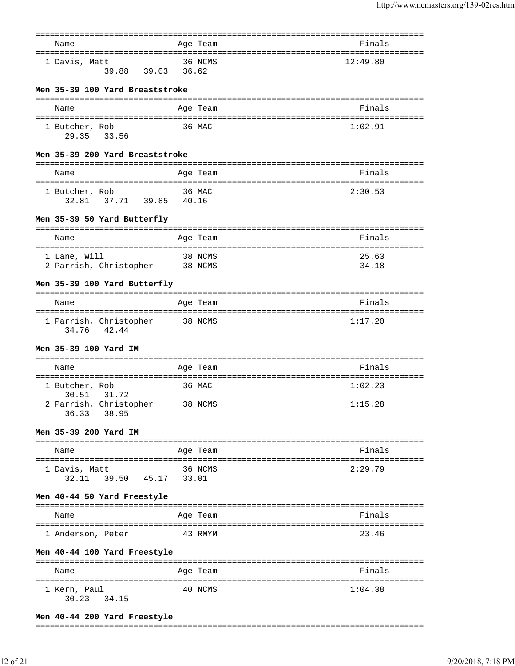| Name                                                            | Age Team | Finals                                         |
|-----------------------------------------------------------------|----------|------------------------------------------------|
| 1 Davis, Matt<br>39.88 39.03 36.62                              | 36 NCMS  | 12:49.80                                       |
| Men 35-39 100 Yard Breaststroke                                 |          |                                                |
| Name                                                            | Age Team | Finals                                         |
| 1 Butcher, Rob<br>29.35 33.56                                   | 36 MAC   | 1:02.91                                        |
| Men 35-39 200 Yard Breaststroke                                 |          |                                                |
| Name                                                            | Age Team | Finals                                         |
| 1 Butcher, Rob<br>32.81   37.71   39.85   40.16                 | 36 MAC   | 2:30.53                                        |
| Men 35-39 50 Yard Butterfly                                     |          |                                                |
| Name                                                            | Age Team | Finals                                         |
| 1 Lane, Will<br>2 Parrish, Christopher 38 NCMS                  | 38 NCMS  | 25.63<br>34.18                                 |
| Men 35-39 100 Yard Butterfly                                    |          |                                                |
| Name                                                            | Age Team | Finals                                         |
| 1 Parrish, Christopher<br>34.76 42.44                           | 38 NCMS  | ===================================<br>1:17.20 |
| Men 35-39 100 Yard IM                                           |          |                                                |
| Name                                                            | Age Team | Finals                                         |
| 1 Butcher, Rob                                                  | 36 MAC   | 1:02.23                                        |
| 31.72<br>30.51<br>2 Parrish, Christopher 38 NCMS<br>36.33 38.95 |          | 1:15.28                                        |
| Men 35-39 200 Yard IM                                           |          |                                                |
| Name                                                            | Age Team | Finals                                         |
| 1 Davis, Matt<br>32.11 39.50 45.17 33.01                        | 36 NCMS  | 2:29.79                                        |
| Men 40-44 50 Yard Freestyle                                     |          |                                                |
| Name                                                            | Age Team | Finals                                         |
| 1 Anderson, Peter                                               | 43 RMYM  | 23.46                                          |
| Men 40-44 100 Yard Freestyle                                    |          |                                                |
| Name                                                            | Age Team | ----------------------------------<br>Finals   |
| 1 Kern, Paul<br>34.15<br>30.23                                  | 40 NCMS  | 1:04.38                                        |

## **Men 40-44 200 Yard Freestyle**

#### ===============================================================================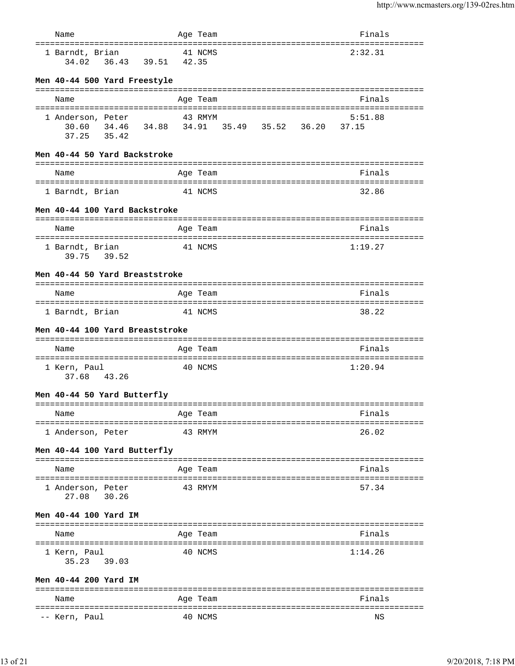| Name                                                    | Age Team                                                   | Finals              |
|---------------------------------------------------------|------------------------------------------------------------|---------------------|
| ====================================<br>1 Barndt, Brian | :================================<br>41 NCMS               | --------<br>2:32.31 |
| Men 40-44 500 Yard Freestyle                            |                                                            |                     |
| Name                                                    | Age Team                                                   | Finals              |
| 1 Anderson, Peter<br>37.25 35.42                        | 43 RMYM<br>30.60 34.46 34.88 34.91 35.49 35.52 36.20 37.15 | 5:51.88             |
| Men 40-44 50 Yard Backstroke                            |                                                            |                     |
| Name                                                    | Age Team                                                   | Finals              |
| 1 Barndt, Brian                                         | 41 NCMS                                                    | 32.86               |
| Men 40-44 100 Yard Backstroke                           |                                                            |                     |
| Name                                                    | Age Team                                                   | Finals              |
| 1 Barndt, Brian<br>39.75 39.52                          | 41 NCMS                                                    | 1:19.27             |
| Men 40-44 50 Yard Breaststroke                          |                                                            |                     |
| Name                                                    | Age Team                                                   | Finals              |
| 1 Barndt, Brian                                         | 41 NCMS                                                    | 38.22               |
| Men 40-44 100 Yard Breaststroke                         |                                                            |                     |
|                                                         |                                                            |                     |
| Name                                                    | Age Team                                                   | Finals              |
| 1 Kern, Paul<br>37.68<br>43.26                          | 40 NCMS                                                    | 1:20.94             |
| Men 40-44 50 Yard Butterfly                             |                                                            |                     |
| Name                                                    | Age Team                                                   | Finals              |
| ==================================<br>1 Anderson, Peter | ============================<br>43 RMYM                    | 26.02               |
| Men 40-44 100 Yard Butterfly                            |                                                            |                     |
| Name                                                    | Age Team                                                   | Finals              |
|                                                         |                                                            |                     |
| 1 Anderson, Peter<br>27.08<br>30.26                     | 43 RMYM                                                    | 57.34               |
| Men 40-44 100 Yard IM                                   |                                                            |                     |
| Name                                                    | Age Team                                                   | Finals              |
| 1 Kern, Paul<br>35.23 39.03                             | 40 NCMS                                                    | 1:14.26             |
| Men 40-44 200 Yard IM                                   |                                                            |                     |
| Name                                                    | Age Team                                                   | Finals              |
| -- Kern, Paul                                           | 40 NCMS                                                    | ΝS                  |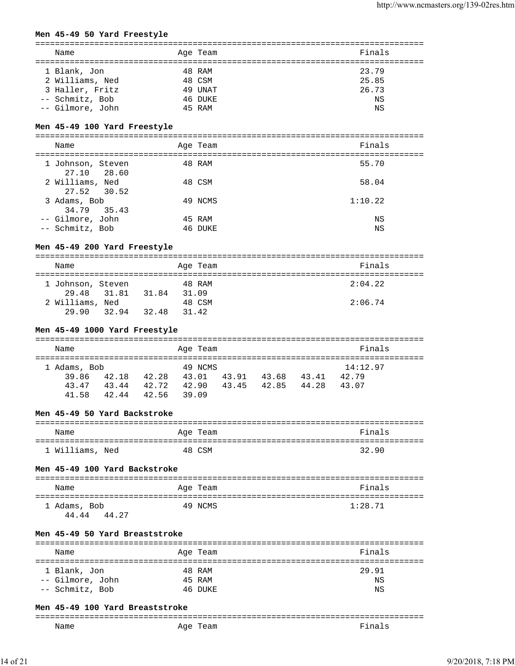# **Men 45-49 50 Yard Freestyle**

| Name             | Age Team | Finals |
|------------------|----------|--------|
| 1 Blank, Jon     | 48 RAM   | 23.79  |
| 2 Williams, Ned  | 48 CSM   | 25.85  |
| 3 Haller, Fritz  | 49 UNAT  | 26.73  |
| -- Schmitz, Bob  | 46 DUKE  | ΝS     |
| -- Gilmore, John | 45 RAM   | NS     |

# **Men 45-49 100 Yard Freestyle**

| Name                             | Age Team | Finals |
|----------------------------------|----------|--------|
| 1 Johnson, Steven<br>27.10 28.60 | 48 RAM   | 55.70  |
| 2 Williams, Ned<br>27.52 30.52   | 48 CSM   | 58.04  |

| 3 Adams, Bob     | 49 NCMS | 1:10.22 |
|------------------|---------|---------|
| 34.79 35.43      |         |         |
| -- Gilmore, John | 45 RAM  | ΝS      |
| -- Schmitz, Bob  | 46 DUKE | ΝS      |

# **Men 45-49 200 Yard Freestyle**

| Name              |       |       |       | Age Team | Finals  |
|-------------------|-------|-------|-------|----------|---------|
| 1 Johnson, Steven |       |       |       | 48 RAM   | 2:04.22 |
| 29.48 31.81       |       | 31.84 | 31.09 |          |         |
| 2 Williams, Ned   |       |       |       | 48 CSM   | 2:06.74 |
| 29.90             | 32.94 | 32.48 | 31.42 |          |         |

#### **Men 45-49 1000 Yard Freestyle**

| Name         |       |       | Age Team |       |       |       | Finals   |  |
|--------------|-------|-------|----------|-------|-------|-------|----------|--|
| 1 Adams, Bob |       |       | 49 NCMS  |       |       |       | 14:12.97 |  |
| 39.86        | 42.18 | 42.28 | 43.01    | 43.91 | 43.68 | 43.41 | 42.79    |  |
| 43.47        | 43.44 | 42.72 | 42.90    | 43.45 | 42.85 | 44.28 | 43.07    |  |
| 41.58        | 42.44 | 42.56 | 39 09    |       |       |       |          |  |

## **Men 45-49 50 Yard Backstroke**

| Name            | Age Team | Finals |
|-----------------|----------|--------|
| 1 Williams, Ned | 48 CSM   | 32.90  |

## **Men 45-49 100 Yard Backstroke**

| Name           | Age Team | Finals  |
|----------------|----------|---------|
| 1 Adams, Bob   | 49 NCMS  | 1:28.71 |
| 44.27<br>44.44 |          |         |

## **Men 45-49 50 Yard Breaststroke**

| Name             | Age Team | Finals |  |  |  |  |  |
|------------------|----------|--------|--|--|--|--|--|
|                  |          |        |  |  |  |  |  |
| 1 Blank, Jon     | 48 RAM   | 29.91  |  |  |  |  |  |
| -- Gilmore, John | 45 RAM   | ΝS     |  |  |  |  |  |
| -- Schmitz, Bob  | 46 DUKE  | ΝS     |  |  |  |  |  |

## **Men 45-49 100 Yard Breaststroke**

| ---<br>____ |                                          | ------------- |
|-------------|------------------------------------------|---------------|
| Name        | Aqe<br>$\sim$<br>คลm<br>سما<br>-<br>$ -$ | na<br>--      |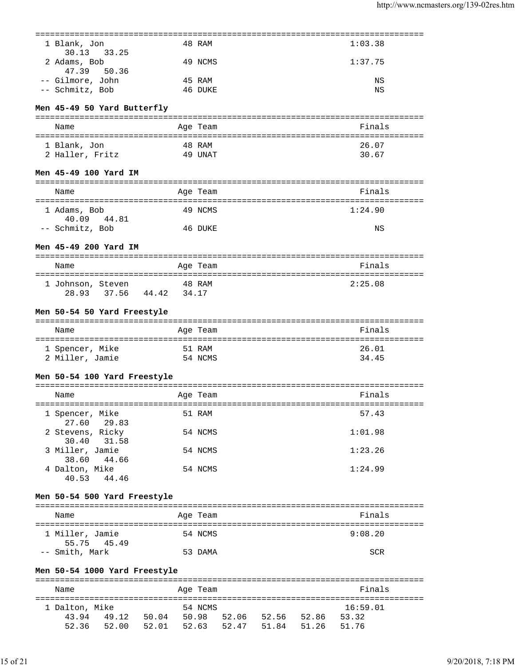| 1 Blank, Jon<br>33.25<br>30.13                                 |       | 48 RAM   |                                   | 1:03.38                            |
|----------------------------------------------------------------|-------|----------|-----------------------------------|------------------------------------|
| 2 Adams, Bob<br>47.39<br>50.36                                 |       | 49 NCMS  |                                   | 1:37.75                            |
| -- Gilmore, John                                               |       | 45 RAM   |                                   |                                    |
|                                                                |       |          |                                   | ΝS                                 |
| -- Schmitz, Bob                                                |       | 46 DUKE  |                                   | ΝS                                 |
| Men 45-49 50 Yard Butterfly                                    |       |          |                                   |                                    |
| Name                                                           |       | Age Team |                                   | Finals                             |
| 1 Blank, Jon                                                   |       | 48 RAM   |                                   | 26.07                              |
| 2 Haller, Fritz                                                |       | 49 UNAT  |                                   | 30.67                              |
|                                                                |       |          |                                   |                                    |
| Men 45-49 100 Yard IM                                          |       |          |                                   |                                    |
| Name                                                           |       | Age Team |                                   | Finals                             |
| 1 Adams, Bob                                                   |       | 49 NCMS  |                                   | 1:24.90                            |
| 40.09 44.81<br>-- Schmitz, Bob                                 |       | 46 DUKE  |                                   | NS                                 |
| Men 45-49 200 Yard IM                                          |       |          |                                   |                                    |
| Name                                                           |       | Age Team |                                   | ========================<br>Finals |
| -----------------------------------                            |       |          |                                   |                                    |
| 1 Johnson, Steven                                              |       | 48 RAM   |                                   | 2:25.08                            |
| 28.93<br>37.56<br>44.42                                        | 34.17 |          |                                   |                                    |
| Men 50-54 50 Yard Freestyle                                    |       |          |                                   |                                    |
| Name                                                           |       | Age Team |                                   | Finals                             |
| 1 Spencer, Mike                                                |       | 51 RAM   |                                   | 26.01                              |
| 2 Miller, Jamie                                                |       | 54 NCMS  |                                   | 34.45                              |
| Men 50-54 100 Yard Freestyle<br>============================== |       |          |                                   |                                    |
| Name                                                           |       | Age Team | ================================= | Finals<br>====================     |
| 1 Spencer, Mike                                                |       | 51 RAM   |                                   | 57.43                              |
| 27.60<br>29.83                                                 |       |          |                                   |                                    |
| 2 Stevens, Ricky                                               |       | 54 NCMS  |                                   | 1:01.98                            |
| 30.40<br>31.58                                                 |       |          |                                   |                                    |
| 3 Miller, Jamie                                                |       | 54 NCMS  |                                   | 1:23.26                            |
| 38.60 44.66<br>4 Dalton, Mike                                  |       | 54 NCMS  |                                   | 1:24.99                            |
| 40.53 44.46                                                    |       |          |                                   |                                    |
| Men 50-54 500 Yard Freestyle                                   |       |          |                                   |                                    |
| Name                                                           |       | Age Team |                                   | Finals                             |
|                                                                |       |          |                                   |                                    |
| 1 Miller, Jamie<br>55.75<br>45.49                              |       | 54 NCMS  |                                   | 9:08.20                            |
| -- Smith, Mark                                                 |       | 53 DAMA  |                                   | <b>SCR</b>                         |
| Men 50-54 1000 Yard Freestyle                                  |       |          |                                   |                                    |
| Name                                                           |       | Age Team |                                   | Finals                             |
|                                                                |       |          |                                   |                                    |
| 1 Dalton, Mike                                                 |       | 54 NCMS  |                                   | 16:59.01                           |
| 43.94 49.12 50.04 50.98 52.06 52.56 52.86                      |       |          |                                   | 53.32                              |
| 52.36 52.00 52.01 52.63                                        |       |          | 52.47 51.84 51.26                 | 51.76                              |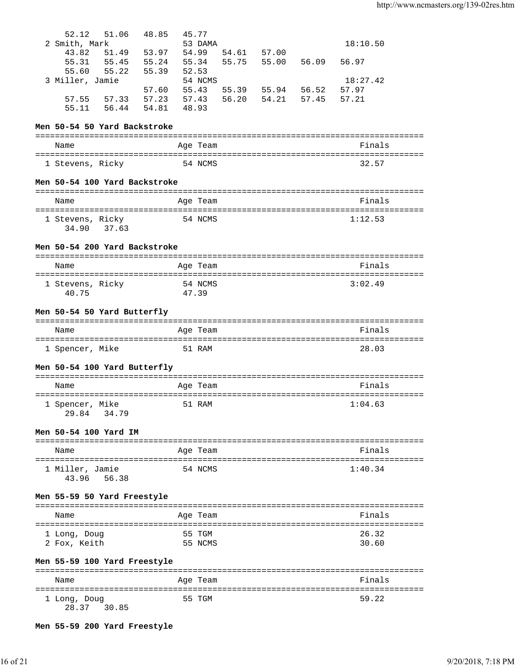| 52.12<br>51.06                        | 48.85 | 45.77          |                             |             |                   |       |                     |  |
|---------------------------------------|-------|----------------|-----------------------------|-------------|-------------------|-------|---------------------|--|
| 2 Smith, Mark<br>51.49 53.97<br>43.82 |       | 54.99          | 53 DAMA                     | 54.61 57.00 |                   |       | 18:10.50            |  |
| 55.31 55.45                           | 55.24 | 55.34          |                             | 55.75 55.00 |                   | 56.09 | 56.97               |  |
| 55.60 55.22                           | 55.39 | 52.53          |                             |             |                   |       |                     |  |
| 3 Miller, Jamie                       |       |                | 54 NCMS                     |             |                   |       | 18:27.42            |  |
|                                       | 57.60 | 55.43          |                             |             | 55.39 55.94 56.52 |       | 57.97               |  |
| 57.55 57.33<br>55.11 56.44 54.81      | 57.23 | 57.43<br>48.93 |                             | 56.20 54.21 |                   | 57.45 | 57.21               |  |
|                                       |       |                |                             |             |                   |       |                     |  |
| Men 50-54 50 Yard Backstroke          |       |                |                             |             |                   |       |                     |  |
| Name                                  |       |                | Age Team                    |             |                   |       | Finals              |  |
| 1 Stevens, Ricky                      |       |                | 54 NCMS                     |             |                   |       | 32.57               |  |
| Men 50-54 100 Yard Backstroke         |       |                |                             |             |                   |       |                     |  |
| Name                                  |       |                | Age Team                    |             |                   |       | Finals              |  |
| 1 Stevens, Ricky                      |       |                | 54 NCMS                     |             |                   |       | 1:12.53             |  |
| 34.90 37.63                           |       |                |                             |             |                   |       |                     |  |
| Men 50-54 200 Yard Backstroke         |       |                |                             |             |                   |       |                     |  |
| Name                                  |       |                | Age Team                    |             |                   |       | Finals              |  |
|                                       |       |                |                             |             |                   |       |                     |  |
| 1 Stevens, Ricky<br>40.75             |       | 47.39          | 54 NCMS                     |             |                   |       | 3:02.49             |  |
|                                       |       |                |                             |             |                   |       |                     |  |
| Men 50-54 50 Yard Butterfly           |       |                |                             |             |                   |       |                     |  |
|                                       |       |                |                             |             |                   |       |                     |  |
| Name                                  |       |                | Age Team                    |             |                   |       | Finals              |  |
|                                       |       |                |                             |             |                   |       |                     |  |
| 1 Spencer, Mike                       |       |                | 51 RAM                      |             |                   |       | 28.03               |  |
| Men 50-54 100 Yard Butterfly          |       |                |                             |             |                   |       |                     |  |
|                                       |       |                |                             |             |                   |       |                     |  |
| Name                                  |       |                | Age Team                    |             |                   |       | Finals              |  |
| 1 Spencer, Mike<br>29.84 34.79        |       |                | 51 RAM                      |             |                   |       | 1:04.63             |  |
| Men 50-54 100 Yard IM                 |       |                |                             |             |                   |       |                     |  |
|                                       |       |                |                             |             |                   |       |                     |  |
| Name                                  |       |                | Age Team                    |             |                   |       | Finals              |  |
| 1 Miller, Jamie                       |       |                | 54 NCMS                     |             |                   |       | 1:40.34             |  |
| 43.96<br>56.38                        |       |                |                             |             |                   |       |                     |  |
| Men 55-59 50 Yard Freestyle           |       |                |                             |             |                   |       |                     |  |
| Name                                  |       |                | Age Team                    |             |                   |       | Finals              |  |
|                                       |       |                |                             |             |                   |       |                     |  |
| 1 Long, Doug                          |       |                | 55 TGM                      |             |                   |       | 26.32               |  |
| 2 Fox, Keith                          |       |                | 55 NCMS                     |             |                   |       | 30.60               |  |
| Men 55-59 100 Yard Freestyle          |       |                |                             |             |                   |       |                     |  |
| Name                                  |       |                |                             |             |                   |       | Finals              |  |
| ===================                   |       |                | Age Team<br>:============== |             |                   |       | :================== |  |

**Men 55-59 200 Yard Freestyle**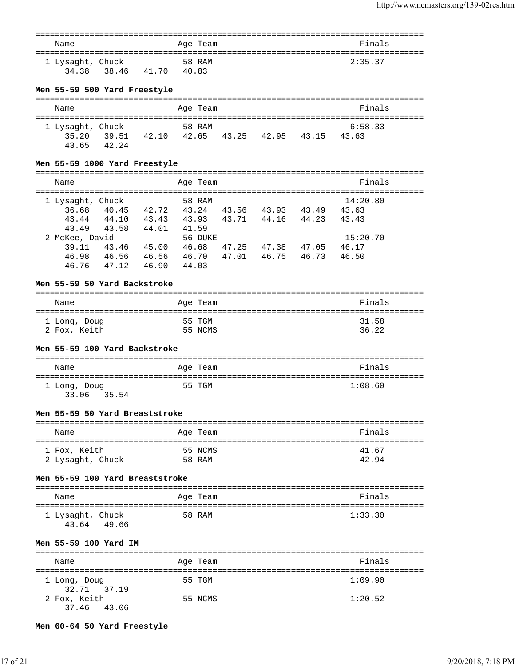| Name                      |       |       | Age Team        | Finals  |
|---------------------------|-------|-------|-----------------|---------|
| 1 Lysaght, Chuck<br>34.38 | 38.46 | 41.70 | 58 RAM<br>40.83 | 2:35.37 |

# **Men 55-59 500 Yard Freestyle**

| Name                               |                |       | Age Team              |       |       | Finals           |  |
|------------------------------------|----------------|-------|-----------------------|-------|-------|------------------|--|
| 1 Lysaght, Chuck<br>35.20<br>43.65 | 39.51<br>42.24 | 42.10 | 58 RAM<br>42.65 43.25 | 42.95 | 43.15 | 6:58.33<br>43.63 |  |

# **Men 55-59 1000 Yard Freestyle**

| Name             |       |       | Age Team |       |       |       | Finals   |  |
|------------------|-------|-------|----------|-------|-------|-------|----------|--|
| 1 Lysaght, Chuck |       |       | 58 RAM   |       |       |       | 14:20.80 |  |
| 36.68            | 40.45 | 42.72 | 43.24    | 43.56 | 43.93 | 43.49 | 43.63    |  |
| 43.44            | 44.10 | 43.43 | 43.93    | 43.71 | 44.16 | 44.23 | 43.43    |  |
| 43.49            | 43.58 | 44.01 | 41.59    |       |       |       |          |  |
| 2 McKee, David   |       |       | 56 DUKE  |       |       |       | 15:20.70 |  |
| 39.11            | 43.46 | 45.00 | 46.68    | 47.25 | 47.38 | 47.05 | 46.17    |  |
| 46.98            | 46.56 | 46.56 | 46.70    | 47.01 | 46.75 | 46.73 | 46.50    |  |
| 46.76            | 47.12 | 46.90 | 44.03    |       |       |       |          |  |

## **Men 55-59 50 Yard Backstroke**

| Name         | Age Team | Finals |
|--------------|----------|--------|
| 1 Long, Doug | 55 TGM   | 31.58  |
| 2 Fox, Keith | 55 NCMS  | 36.22  |

# **Men 55-59 100 Yard Backstroke**

| Name                        | Age Team | Finals  |
|-----------------------------|----------|---------|
| 1 Long, Doug<br>33.06 35.54 | 55 TGM   | 1:08.60 |

## **Men 55-59 50 Yard Breaststroke**

| Name             | Age Team | Finals |
|------------------|----------|--------|
| 1 Fox, Keith     | 55 NCMS  | 41.67  |
| 2 Lysaght, Chuck | 58 RAM   | 42.94  |

# **Men 55-59 100 Yard Breaststroke**

| Name                      |       | Age Team | Finals  |
|---------------------------|-------|----------|---------|
| 1 Lysaght, Chuck<br>43.64 | 49.66 | 58 RAM   | 1:33.30 |

# **Men 55-59 100 Yard IM**

| Name                        | Age Team | Finals  |
|-----------------------------|----------|---------|
| 1 Long, Doug<br>32.71 37.19 | 55 TGM   | 1:09.90 |
| 2 Fox, Keith<br>37.46 43.06 | 55 NCMS  | 1:20.52 |

## **Men 60-64 50 Yard Freestyle**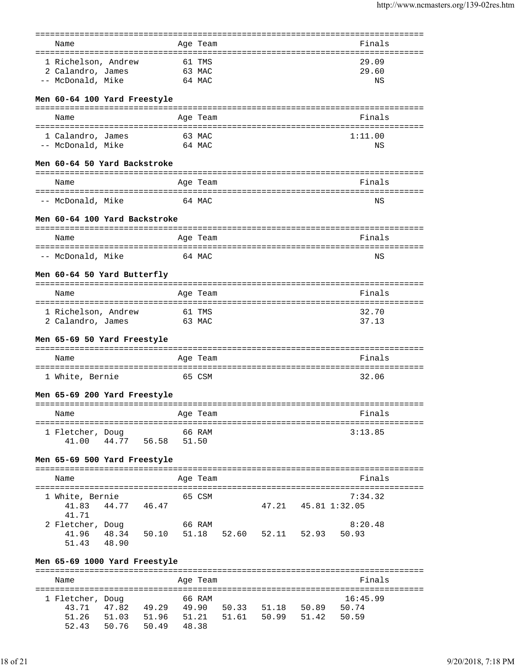|                               |                     |                             |        | :======         |       |                     |                     |                                               |
|-------------------------------|---------------------|-----------------------------|--------|-----------------|-------|---------------------|---------------------|-----------------------------------------------|
| Name                          |                     |                             |        | Age Team        |       |                     |                     | Finals                                        |
| 1 Richelson, Andrew           |                     |                             |        | 61 TMS          |       |                     |                     | ====================================<br>29.09 |
| 2 Calandro, James             |                     |                             |        | 63 MAC          |       |                     |                     | 29.60                                         |
| -- McDonald, Mike             |                     |                             |        | 64 MAC          |       |                     |                     | NS                                            |
|                               |                     |                             |        |                 |       |                     |                     |                                               |
| Men 60-64 100 Yard Freestyle  |                     |                             |        |                 |       |                     |                     |                                               |
| Name                          |                     |                             |        | Age Team        |       |                     |                     | Finals                                        |
| 1 Calandro, James             |                     |                             |        | 63 MAC          |       |                     |                     | 1:11.00                                       |
| -- McDonald, Mike             |                     |                             | 64 MAC |                 |       |                     |                     | NS                                            |
| Men 60-64 50 Yard Backstroke  |                     |                             |        |                 |       |                     |                     |                                               |
| Name                          |                     |                             |        | Age Team        |       |                     |                     | Finals                                        |
| -- McDonald, Mike             |                     |                             |        | 64 MAC          |       |                     |                     | ΝS                                            |
| Men 60-64 100 Yard Backstroke |                     |                             |        |                 |       |                     |                     |                                               |
| Name                          |                     |                             |        | Age Team        |       |                     |                     | Finals                                        |
|                               |                     |                             |        |                 |       |                     |                     |                                               |
| -- McDonald, Mike             |                     |                             |        | 64 MAC          |       |                     |                     | $_{\rm NS}$                                   |
| Men 60-64 50 Yard Butterfly   |                     | --------------------------- |        |                 |       |                     |                     |                                               |
| Name                          |                     |                             |        | Age Team        |       |                     |                     | Finals                                        |
| 1 Richelson, Andrew           |                     |                             | 61 TMS |                 |       |                     |                     | 32.70                                         |
| 2 Calandro, James             |                     |                             |        | 63 MAC          |       |                     |                     | 37.13                                         |
| Men 65-69 50 Yard Freestyle   |                     |                             |        |                 |       |                     |                     |                                               |
| Name                          |                     |                             |        | Age Team        |       |                     |                     | Finals                                        |
|                               |                     |                             |        |                 |       |                     |                     |                                               |
| 1 White, Bernie               |                     |                             |        | 65 CSM          |       |                     |                     | 32.06                                         |
| Men 65-69 200 Yard Freestyle  |                     |                             |        |                 |       |                     |                     | =========================                     |
| Name                          |                     |                             |        | Age Team        |       |                     |                     | Finals                                        |
|                               |                     |                             |        |                 |       |                     |                     |                                               |
| 1 Fletcher, Doug<br>41.00     | 44.77               | 56.58                       |        | 66 RAM<br>51.50 |       |                     |                     | 3:13.85                                       |
| Men 65-69 500 Yard Freestyle  |                     |                             |        |                 |       |                     |                     |                                               |
| Name                          |                     |                             |        | Age Team        |       |                     |                     | Finals                                        |
|                               |                     |                             |        |                 |       |                     |                     |                                               |
| 1 White, Bernie<br>41.83      | 44.77 46.47         |                             |        | 65 CSM          |       |                     | 47.21 45.81 1:32.05 | 7:34.32                                       |
| 41.71                         |                     |                             |        |                 |       |                     |                     |                                               |
| 2 Fletcher, Doug              |                     |                             |        | 66 RAM          |       |                     |                     | 8:20.48                                       |
| 41.96<br>51.43 48.90          | 48.34               | 50.10                       |        | 51.18           |       | 52.60 52.11 52.93   |                     | 50.93                                         |
| Men 65-69 1000 Yard Freestyle |                     |                             |        |                 |       |                     |                     |                                               |
|                               |                     |                             |        |                 |       |                     |                     |                                               |
| Name                          |                     |                             |        | Age Team        |       |                     |                     | Finals                                        |
| 1 Fletcher, Doug              |                     |                             |        | 66 RAM          |       |                     |                     | 16:45.99                                      |
| 43.71                         | 47.82  49.29  49.90 |                             |        |                 | 50.33 | 51.18               | 50.89               | 50.74                                         |
| 51.26                         | 51.03               | 51.96 51.21                 |        |                 |       | 51.61  50.99  51.42 |                     | 50.59                                         |

52.43 50.76 50.49 48.38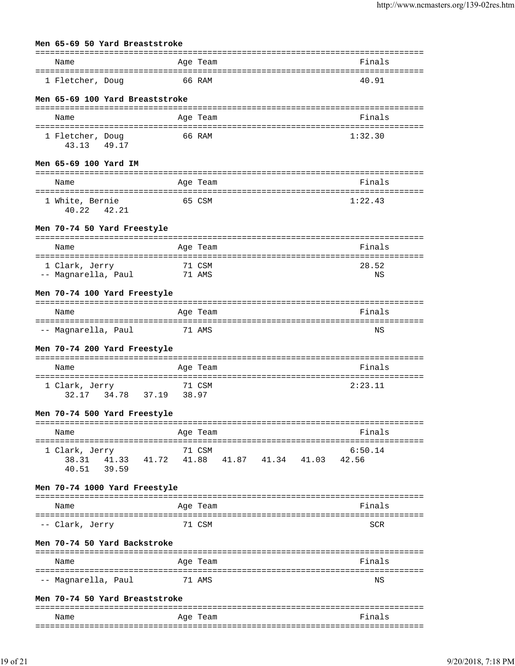| Men 65-69 50 Yard Breaststroke         |                 |  |                         |         |
|----------------------------------------|-----------------|--|-------------------------|---------|
| Name                                   | Age Team        |  |                         | Finals  |
| 1 Fletcher, Doug                       | 66 RAM          |  |                         | 40.91   |
| Men 65-69 100 Yard Breaststroke        |                 |  |                         |         |
|                                        |                 |  |                         |         |
| Name                                   | Age Team        |  |                         | Finals  |
| 1 Fletcher, Doug<br>43.13 49.17        | 66 RAM          |  |                         | 1:32.30 |
| Men 65-69 100 Yard IM                  |                 |  |                         |         |
| Name                                   | Age Team        |  |                         | Finals  |
| 1 White, Bernie<br>40.22 42.21         | 65 CSM          |  |                         | 1:22.43 |
| Men 70-74 50 Yard Freestyle            |                 |  |                         |         |
| Name                                   | Age Team        |  |                         | Finals  |
| 1 Clark, Jerry                         | 71 CSM          |  |                         | 28.52   |
| -- Magnarella, Paul                    | 71 AMS          |  |                         | ΝS      |
| Men 70-74 100 Yard Freestyle           |                 |  |                         |         |
| Name                                   | Age Team        |  |                         | Finals  |
| -- Magnarella, Paul                    | 71 AMS          |  |                         | ΝS      |
| Men 70-74 200 Yard Freestyle           |                 |  |                         |         |
| Name                                   | Age Team        |  |                         | Finals  |
| 1 Clark, Jerry<br>34.78 37.19<br>32.17 | 71 CSM<br>38.97 |  |                         | 2:23.11 |
| Men 70-74 500 Yard Freestyle           |                 |  |                         |         |
| Name                                   | Age Team        |  |                         | Finals  |
| 1 Clark, Jerry                         | 71 CSM          |  |                         | 6:50.14 |
| 38.31 41.33 41.72<br>40.51 39.59       |                 |  | 41.88 41.87 41.34 41.03 | 42.56   |
| Men 70-74 1000 Yard Freestyle          |                 |  |                         |         |
| Name                                   | Age Team        |  |                         | Finals  |
| -- Clark, Jerry                        | 71 CSM          |  |                         | SCR     |
| Men 70-74 50 Yard Backstroke           |                 |  |                         |         |
| Name                                   | Age Team        |  |                         | Finals  |
| -- Magnarella, Paul                    | 71 AMS          |  |                         | ΝS      |
| Men 70-74 50 Yard Breaststroke         |                 |  |                         |         |
|                                        |                 |  |                         |         |

| Name<br>____ | $\sim$ $\sim$<br>A<br>___ | $-$ 50 $\sigma$ |
|--------------|---------------------------|-----------------|
| $  -$        |                           | ---             |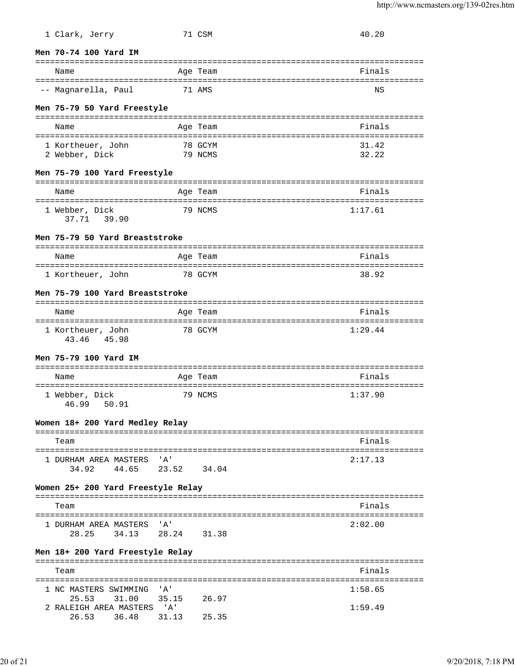| 1 Clark, Jerry                                          |       | 71 CSM   | 40.20                            |
|---------------------------------------------------------|-------|----------|----------------------------------|
| Men 70-74 100 Yard IM                                   |       |          |                                  |
| Name                                                    |       | Age Team | Finals                           |
| -- Magnarella, Paul                                     |       | 71 AMS   | ΝS                               |
| Men 75-79 50 Yard Freestyle                             |       |          |                                  |
| Name                                                    |       | Age Team | Finals                           |
| 1 Kortheuer, John                                       |       | 78 GCYM  | 31.42                            |
| 2 Webber, Dick                                          |       | 79 NCMS  | 32.22                            |
| Men 75-79 100 Yard Freestyle                            |       |          | ================================ |
| Name                                                    |       | Age Team | Finals                           |
| 1 Webber, Dick<br>37.71 39.90                           |       | 79 NCMS  | 1:17.61                          |
| Men 75-79 50 Yard Breaststroke                          |       |          |                                  |
| Name                                                    |       | Age Team | Finals                           |
| 1 Kortheuer, John                                       |       | 78 GCYM  | 38.92                            |
|                                                         |       |          |                                  |
| Men 75-79 100 Yard Breaststroke                         |       |          |                                  |
| Name                                                    |       | Age Team | Finals                           |
| 1 Kortheuer, John<br>43.46 45.98                        |       | 78 GCYM  | 1:29.44                          |
| Men 75-79 100 Yard IM                                   |       |          |                                  |
| Name                                                    |       | Age Team | Finals                           |
| 1 Webber, Dick<br>46.99 50.91                           |       | 79 NCMS  | 1:37.90                          |
| Women 18+ 200 Yard Medley Relay                         |       |          |                                  |
| Team                                                    |       |          | Finals                           |
| 1 DURHAM AREA MASTERS 'A'<br>44.65 23.52 34.04<br>34.92 |       |          | 2:17.13                          |
| Women 25+ 200 Yard Freestyle Relay                      |       |          |                                  |
| Team                                                    |       |          | Finals                           |
| 1 DURHAM AREA MASTERS 'A'                               |       |          | 2:02.00                          |
| 34.13 28.24 31.38<br>28.25                              |       |          |                                  |
| Men 18+ 200 Yard Freestyle Relay                        |       |          |                                  |
| Team                                                    |       |          | Finals                           |
| 1 NC MASTERS SWIMMING 'A'                               |       |          | 1:58.65                          |
| 25.53<br>31.00                                          | 35.15 | 26.97    |                                  |
| 2 RALEIGH AREA MASTERS 'A'<br>26.53 36.48 31.13         |       | 25.35    | 1:59.49                          |